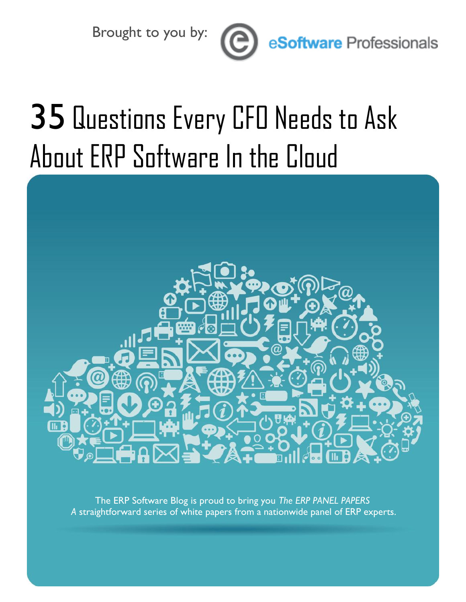Brought to you by:



eSoftware Professionals

# 35 Questions Every CFO Needs to Ask About ERP Software In the Cloud



The ERP Software Blog is proud to bring you *The ERP PANEL PAPERS A* straightforward series of white papers from a nationwide panel of ERP experts.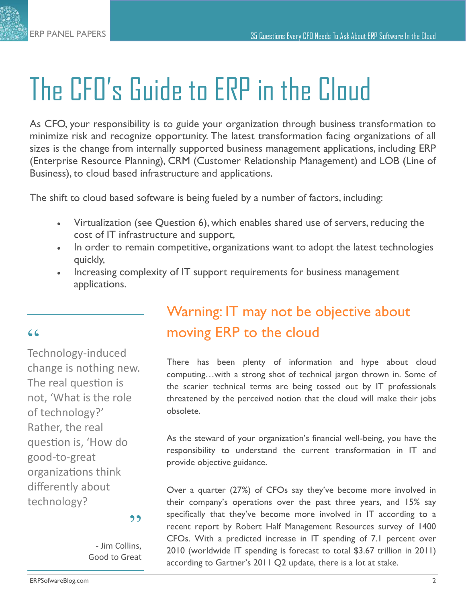## The CFO's Guide to ERP in the Cloud

As CFO, your responsibility is to guide your organization through business transformation to minimize risk and recognize opportunity. The latest transformation facing organizations of all sizes is the change from internally supported business management applications, including ERP (Enterprise Resource Planning), CRM (Customer Relationship Management) and LOB (Line of Business), to cloud based infrastructure and applications.

The shift to cloud based software is being fueled by a number of factors, including:

- Virtualization (see Question 6), which enables shared use of servers, reducing the cost of IT infrastructure and support,
- In order to remain competitive, organizations want to adopt the latest technologies quickly,
- Increasing complexity of IT support requirements for business management applications.

#### $66$

Technology-induced change is nothing new. The real question is not, 'What is the role of technology?' Rather, the real question is, 'How do good-to-great organizations think differently about technology?

#### Warning: IT may not be objective about moving ERP to the cloud

There has been plenty of information and hype about cloud computing…with a strong shot of technical jargon thrown in. Some of the scarier technical terms are being tossed out by IT professionals threatened by the perceived notion that the cloud will make their jobs obsolete.

As the steward of your organization's financial well-being, you have the responsibility to understand the current transformation in IT and provide objective guidance.

Over a quarter (27%) of CFOs say they've become more involved in their company's operations over the past three years, and 15% say specifically that they've become more involved in IT according to a recent report by Robert Half Management Resources survey of 1400 CFOs. With a predicted increase in IT spending of 7.1 percent over 2010 (worldwide IT spending is forecast to total \$3.67 trillion in 2011) according to Gartner's 2011 Q2 update, there is a lot at stake.

#### ,,

- Jim Collins, Good to Great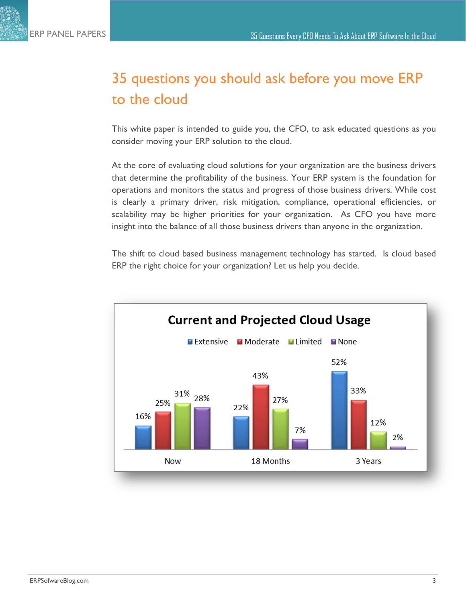#### 35 questions you should ask before you move ERP to the cloud

This white paper is intended to guide you, the CFO, to ask educated questions as you consider moving your ERP solution to the cloud.

At the core of evaluating cloud solutions for your organization are the business drivers that determine the profitability of the business. Your ERP system is the foundation for operations and monitors the status and progress of those business drivers. While cost is clearly a primary driver, risk mitigation, compliance, operational efficiencies, or scalability may be higher priorities for your organization. As CFO you have more insight into the balance of all those business drivers than anyone in the organization.

The shift to cloud based business management technology has started. Is cloud based ERP the right choice for your organization? Let us help you decide.

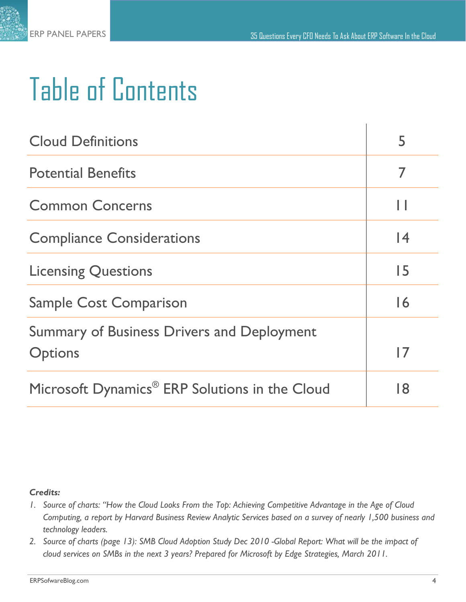$\mathbf{L}$ 



## Table of Contents

| <b>Cloud Definitions</b>                                            |                 |
|---------------------------------------------------------------------|-----------------|
| <b>Potential Benefits</b>                                           | 7               |
| <b>Common Concerns</b>                                              |                 |
| <b>Compliance Considerations</b>                                    | 14              |
| <b>Licensing Questions</b>                                          | 15              |
| <b>Sample Cost Comparison</b>                                       | $\overline{16}$ |
| <b>Summary of Business Drivers and Deployment</b><br><b>Options</b> | 17              |
| Microsoft Dynamics <sup>®</sup> ERP Solutions in the Cloud          | 18              |

#### *Credits:*

- *1. Source of charts: "How the Cloud Looks From the Top: Achieving Competitive Advantage in the Age of Cloud Computing, a report by Harvard Business Review Analytic Services based on a survey of nearly 1,500 business and technology leaders.*
- *2. Source of charts (page 13): SMB Cloud Adoption Study Dec 2010 -Global Report: What will be the impact of cloud services on SMBs in the next 3 years? Prepared for Microsoft by Edge Strategies, March 2011.*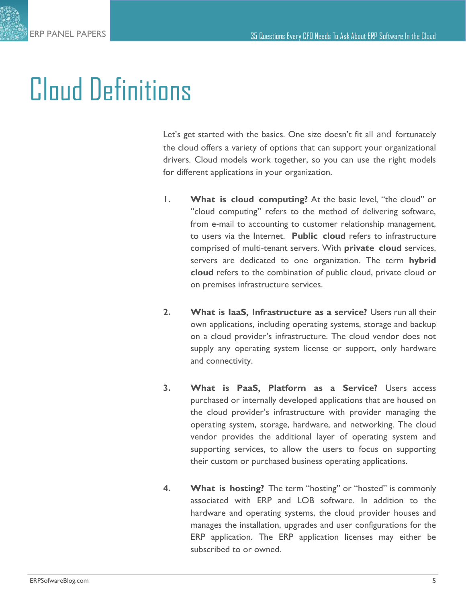### Cloud Definitions

Let's get started with the basics. One size doesn't fit all and fortunately the cloud offers a variety of options that can support your organizational drivers. Cloud models work together, so you can use the right models for different applications in your organization.

- **1. What is cloud computing?** At the basic level, "the cloud" or "cloud computing" refers to the method of delivering software, from e-mail to accounting to customer relationship management, to users via the Internet. **Public cloud** refers to infrastructure comprised of multi-tenant servers. With **private cloud** services, servers are dedicated to one organization. The term **hybrid cloud** refers to the combination of public cloud, private cloud or on premises infrastructure services.
- **2. What is IaaS, Infrastructure as a service?** Users run all their own applications, including operating systems, storage and backup on a cloud provider's infrastructure. The cloud vendor does not supply any operating system license or support, only hardware and connectivity.
- **3. What is PaaS, Platform as a Service?** Users access purchased or internally developed applications that are housed on the cloud provider's infrastructure with provider managing the operating system, storage, hardware, and networking. The cloud vendor provides the additional layer of operating system and supporting services, to allow the users to focus on supporting their custom or purchased business operating applications.
- **4. What is hosting?** The term "hosting" or "hosted" is commonly associated with ERP and LOB software. In addition to the hardware and operating systems, the cloud provider houses and manages the installation, upgrades and user configurations for the ERP application. The ERP application licenses may either be subscribed to or owned.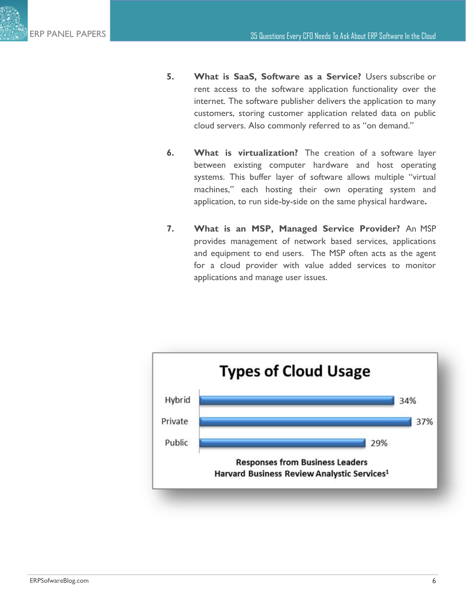- **5. What is SaaS, Software as a Service?** Users subscribe or rent access to the software application functionality over the internet. The software publisher delivers the application to many customers, storing customer application related data on public cloud servers. Also commonly referred to as "on demand."
- **6. What is virtualization?** The creation of a software layer between existing computer hardware and host operating systems. This buffer layer of software allows multiple "virtual machines," each hosting their own operating system and application, to run side-by-side on the same physical hardware**.**
- **7. What is an MSP, Managed Service Provider?** An MSP provides management of network based services, applications and equipment to end users. The MSP often acts as the agent for a cloud provider with value added services to monitor applications and manage user issues.

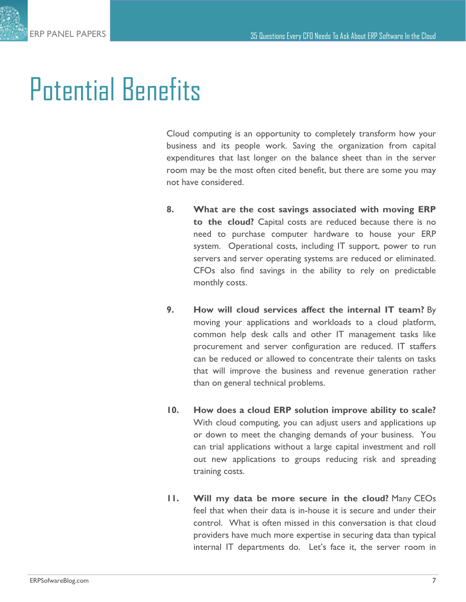### Potential Benefits

Cloud computing is an opportunity to completely transform how your business and its people work. Saving the organization from capital expenditures that last longer on the balance sheet than in the server room may be the most often cited benefit, but there are some you may not have considered.

- **8. What are the cost savings associated with moving ERP to the cloud?** Capital costs are reduced because there is no need to purchase computer hardware to house your ERP system. Operational costs, including IT support, power to run servers and server operating systems are reduced or eliminated. CFOs also find savings in the ability to rely on predictable monthly costs.
- **9. How will cloud services affect the internal IT team?** By moving your applications and workloads to a cloud platform, common help desk calls and other IT management tasks like procurement and server configuration are reduced. IT staffers can be reduced or allowed to concentrate their talents on tasks that will improve the business and revenue generation rather than on general technical problems.
- **10. How does a cloud ERP solution improve ability to scale?** With cloud computing, you can adjust users and applications up or down to meet the changing demands of your business. You can trial applications without a large capital investment and roll out new applications to groups reducing risk and spreading training costs.
- **11. Will my data be more secure in the cloud?** Many CEOs feel that when their data is in-house it is secure and under their control. What is often missed in this conversation is that cloud providers have much more expertise in securing data than typical internal IT departments do. Let's face it, the server room in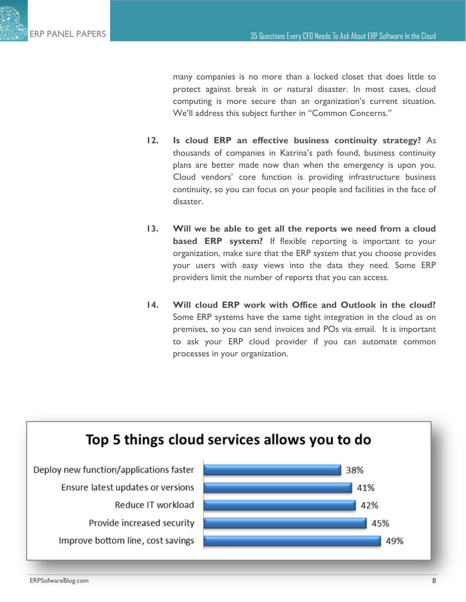

many companies is no more than a locked closet that does little to protect against break in or natural disaster. In most cases, cloud computing is more secure than an organization's current situation. We'll address this subject further in "Common Concerns."

- **12. Is cloud ERP an effective business continuity strategy?** As thousands of companies in Katrina's path found, business continuity plans are better made now than when the emergency is upon you. Cloud vendors' core function is providing infrastructure business continuity, so you can focus on your people and facilities in the face of disaster.
- **13. Will we be able to get all the reports we need from a cloud based ERP system?** If flexible reporting is important to your organization, make sure that the ERP system that you choose provides your users with easy views into the data they need. Some ERP providers limit the number of reports that you can access.
- **14. Will cloud ERP work with Office and Outlook in the cloud?**  Some ERP systems have the same tight integration in the cloud as on premises, so you can send invoices and POs via email. It is important to ask your ERP cloud provider if you can automate common processes in your organization.

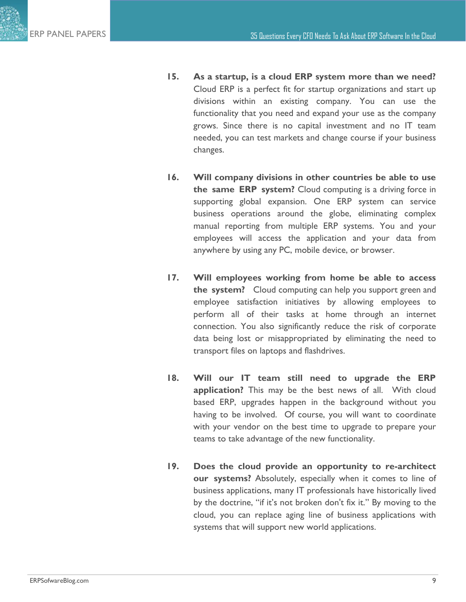- **15. As a startup, is a cloud ERP system more than we need?**  Cloud ERP is a perfect fit for startup organizations and start up divisions within an existing company. You can use the functionality that you need and expand your use as the company grows. Since there is no capital investment and no IT team needed, you can test markets and change course if your business changes.
- **16. Will company divisions in other countries be able to use the same ERP system?** Cloud computing is a driving force in supporting global expansion. One ERP system can service business operations around the globe, eliminating complex manual reporting from multiple ERP systems. You and your employees will access the application and your data from anywhere by using any PC, mobile device, or browser.
- **17. Will employees working from home be able to access the system?** Cloud computing can help you support green and employee satisfaction initiatives by allowing employees to perform all of their tasks at home through an internet connection. You also significantly reduce the risk of corporate data being lost or misappropriated by eliminating the need to transport files on laptops and flashdrives.
- **18. Will our IT team still need to upgrade the ERP application?** This may be the best news of all. With cloud based ERP, upgrades happen in the background without you having to be involved. Of course, you will want to coordinate with your vendor on the best time to upgrade to prepare your teams to take advantage of the new functionality.
- **19. Does the cloud provide an opportunity to re-architect our systems?** Absolutely, especially when it comes to line of business applications, many IT professionals have historically lived by the doctrine, "if it's not broken don't fix it." By moving to the cloud, you can replace aging line of business applications with systems that will support new world applications.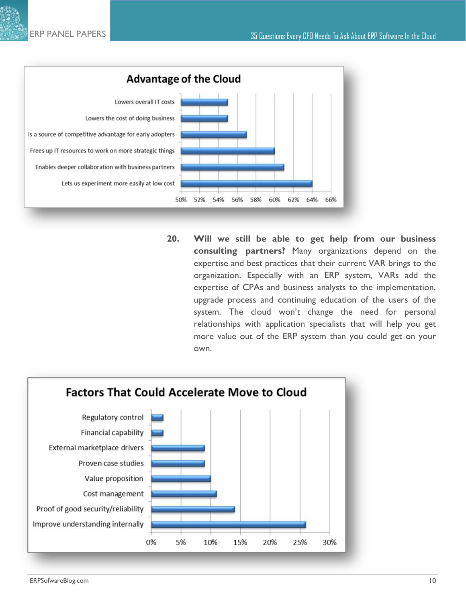

**20. Will we still be able to get help from our business consulting partners?** Many organizations depend on the expertise and best practices that their current VAR brings to the organization. Especially with an ERP system, VARs add the expertise of CPAs and business analysts to the implementation, upgrade process and continuing education of the users of the system. The cloud won't change the need for personal relationships with application specialists that will help you get more value out of the ERP system than you could get on your own.

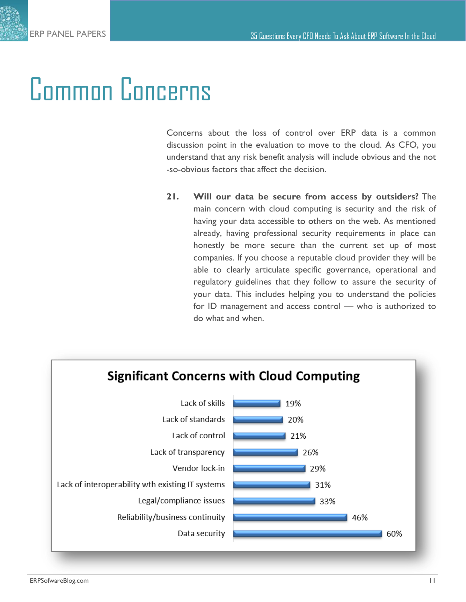### Common Concerns

Concerns about the loss of control over ERP data is a common discussion point in the evaluation to move to the cloud. As CFO, you understand that any risk benefit analysis will include obvious and the not -so-obvious factors that affect the decision.

**21. Will our data be secure from access by outsiders?** The main concern with cloud computing is security and the risk of having your data accessible to others on the web. As mentioned already, having professional security requirements in place can honestly be more secure than the current set up of most companies. If you choose a reputable cloud provider they will be able to clearly articulate specific governance, operational and regulatory guidelines that they follow to assure the security of your data. This includes helping you to understand the policies for ID management and access control — who is authorized to do what and when.

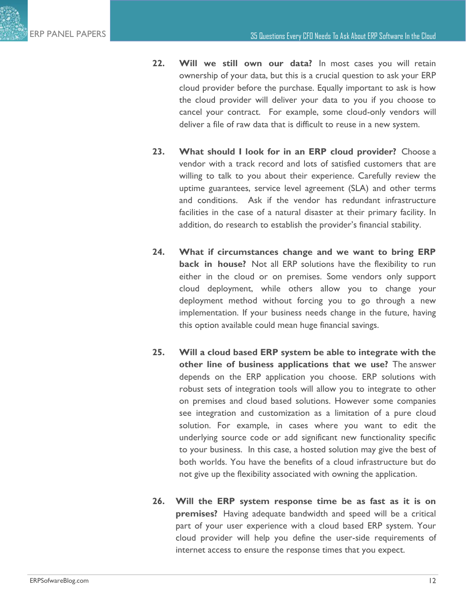- **22. Will we still own our data?** In most cases you will retain ownership of your data, but this is a crucial question to ask your ERP cloud provider before the purchase. Equally important to ask is how the cloud provider will deliver your data to you if you choose to cancel your contract. For example, some cloud-only vendors will deliver a file of raw data that is difficult to reuse in a new system.
- **23. What should I look for in an ERP cloud provider?** Choose a vendor with a track record and lots of satisfied customers that are willing to talk to you about their experience. Carefully review the uptime guarantees, service level agreement (SLA) and other terms and conditions. Ask if the vendor has redundant infrastructure facilities in the case of a natural disaster at their primary facility. In addition, do research to establish the provider's financial stability.
- **24. What if circumstances change and we want to bring ERP back in house?** Not all ERP solutions have the flexibility to run either in the cloud or on premises. Some vendors only support cloud deployment, while others allow you to change your deployment method without forcing you to go through a new implementation. If your business needs change in the future, having this option available could mean huge financial savings.
- **25. Will a cloud based ERP system be able to integrate with the other line of business applications that we use?** The answer depends on the ERP application you choose. ERP solutions with robust sets of integration tools will allow you to integrate to other on premises and cloud based solutions. However some companies see integration and customization as a limitation of a pure cloud solution. For example, in cases where you want to edit the underlying source code or add significant new functionality specific to your business. In this case, a hosted solution may give the best of both worlds. You have the benefits of a cloud infrastructure but do not give up the flexibility associated with owning the application.
- **26. Will the ERP system response time be as fast as it is on premises?** Having adequate bandwidth and speed will be a critical part of your user experience with a cloud based ERP system. Your cloud provider will help you define the user-side requirements of internet access to ensure the response times that you expect.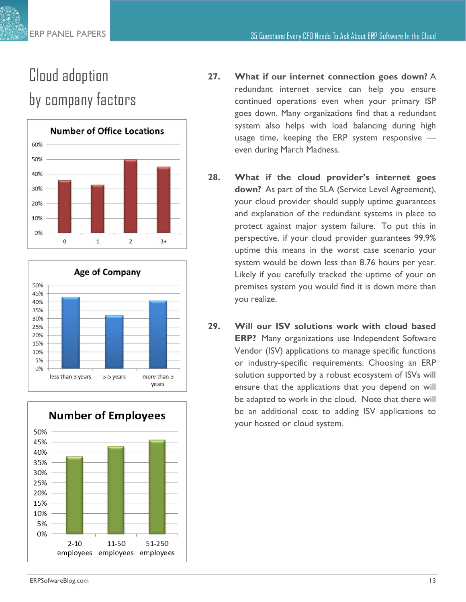#### Cloud adoption by company factors







- **27. What if our internet connection goes down?** A redundant internet service can help you ensure continued operations even when your primary ISP goes down. Many organizations find that a redundant system also helps with load balancing during high usage time, keeping the ERP system responsive even during March Madness.
- **28. What if the cloud provider's internet goes down?** As part of the SLA (Service Level Agreement), your cloud provider should supply uptime guarantees and explanation of the redundant systems in place to protect against major system failure. To put this in perspective, if your cloud provider guarantees 99.9% uptime this means in the worst case scenario your system would be down less than 8.76 hours per year. Likely if you carefully tracked the uptime of your on premises system you would find it is down more than you realize.
- **29. Will our ISV solutions work with cloud based ERP?** Many organizations use Independent Software Vendor (ISV) applications to manage specific functions or industry-specific requirements. Choosing an ERP solution supported by a robust ecosystem of ISVs will ensure that the applications that you depend on will be adapted to work in the cloud. Note that there will be an additional cost to adding ISV applications to your hosted or cloud system.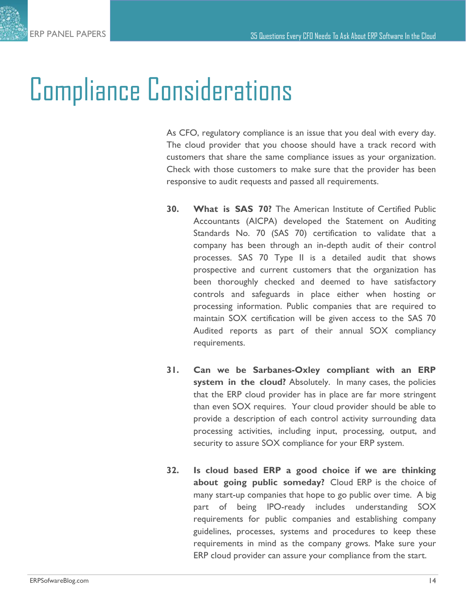### Compliance Considerations

As CFO, regulatory compliance is an issue that you deal with every day. The cloud provider that you choose should have a track record with customers that share the same compliance issues as your organization. Check with those customers to make sure that the provider has been responsive to audit requests and passed all requirements.

- **30. What is SAS 70?** The American Institute of Certified Public Accountants (AICPA) developed the Statement on Auditing Standards No. 70 (SAS 70) certification to validate that a company has been through an in-depth audit of their control processes. SAS 70 Type II is a detailed audit that shows prospective and current customers that the organization has been thoroughly checked and deemed to have satisfactory controls and safeguards in place either when hosting or processing information. Public companies that are required to maintain SOX certification will be given access to the SAS 70 Audited reports as part of their annual SOX compliancy requirements.
- **31. Can we be Sarbanes-Oxley compliant with an ERP system in the cloud?** Absolutely. In many cases, the policies that the ERP cloud provider has in place are far more stringent than even SOX requires. Your cloud provider should be able to provide a description of each control activity surrounding data processing activities, including input, processing, output, and security to assure SOX compliance for your ERP system.
- **32. Is cloud based ERP a good choice if we are thinking about going public someday?** Cloud ERP is the choice of many start-up companies that hope to go public over time. A big part of being IPO-ready includes understanding SOX requirements for public companies and establishing company guidelines, processes, systems and procedures to keep these requirements in mind as the company grows. Make sure your ERP cloud provider can assure your compliance from the start.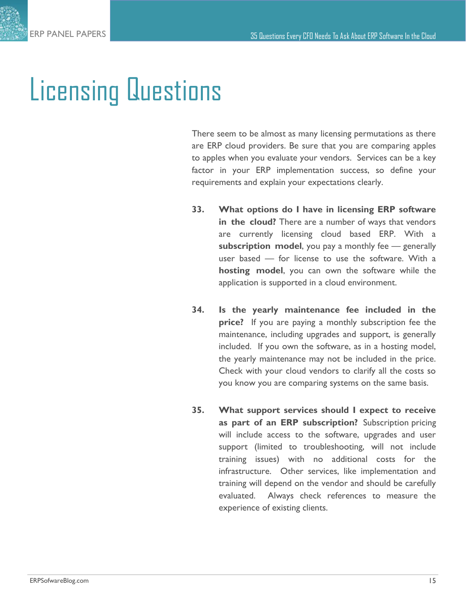#### Licensing Questions

There seem to be almost as many licensing permutations as there are ERP cloud providers. Be sure that you are comparing apples to apples when you evaluate your vendors. Services can be a key factor in your ERP implementation success, so define your requirements and explain your expectations clearly.

- **33. What options do I have in licensing ERP software in the cloud?** There are a number of ways that vendors are currently licensing cloud based ERP. With a **subscription model**, you pay a monthly fee — generally user based — for license to use the software. With a **hosting model**, you can own the software while the application is supported in a cloud environment.
- **34. Is the yearly maintenance fee included in the price?** If you are paying a monthly subscription fee the maintenance, including upgrades and support, is generally included. If you own the software, as in a hosting model, the yearly maintenance may not be included in the price. Check with your cloud vendors to clarify all the costs so you know you are comparing systems on the same basis.
- **35. What support services should I expect to receive as part of an ERP subscription?** Subscription pricing will include access to the software, upgrades and user support (limited to troubleshooting, will not include training issues) with no additional costs for the infrastructure. Other services, like implementation and training will depend on the vendor and should be carefully evaluated. Always check references to measure the experience of existing clients.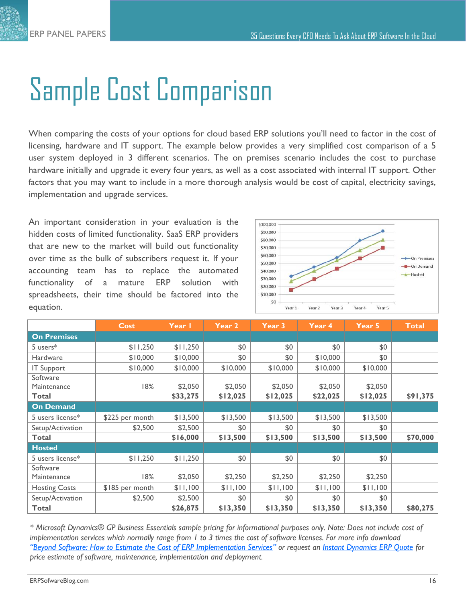## Sample Cost Comparison

When comparing the costs of your options for cloud based ERP solutions you'll need to factor in the cost of licensing, hardware and IT support. The example below provides a very simplified cost comparison of a 5 user system deployed in 3 different scenarios. The on premises scenario includes the cost to purchase hardware initially and upgrade it every four years, as well as a cost associated with internal IT support. Other factors that you may want to include in a more thorough analysis would be cost of capital, electricity savings, implementation and upgrade services.

An important consideration in your evaluation is the hidden costs of limited functionality. SaaS ERP providers that are new to the market will build out functionality over time as the bulk of subscribers request it. If your accounting team has to replace the automated functionality of a mature ERP solution with spreadsheets, their time should be factored into the equation.



|                      | <b>Cost</b>     | Year I   | Year 2   | Year 3   | Year 4   | Year 5   | <b>Total</b> |
|----------------------|-----------------|----------|----------|----------|----------|----------|--------------|
| <b>On Premises</b>   |                 |          |          |          |          |          |              |
| 5 users $*$          | \$11,250        | \$11,250 | \$0      | \$0      | \$0      | \$0      |              |
| <b>Hardware</b>      | \$10,000        | \$10,000 | \$0      | \$0      | \$10,000 | \$0      |              |
| <b>IT Support</b>    | \$10,000        | \$10,000 | \$10,000 | \$10,000 | \$10,000 | \$10,000 |              |
| Software             |                 |          |          |          |          |          |              |
| Maintenance          | 18%             | \$2,050  | \$2,050  | \$2,050  | \$2,050  | \$2,050  |              |
| Total                |                 | \$33,275 | \$12,025 | \$12,025 | \$22,025 | \$12,025 | \$91,375     |
| <b>On Demand</b>     |                 |          |          |          |          |          |              |
| 5 users license*     | \$225 per month | \$13,500 | \$13,500 | \$13,500 | \$13,500 | \$13,500 |              |
| Setup/Activation     | \$2,500         | \$2,500  | \$0      | \$0      | \$0      | \$0      |              |
| Total                |                 | \$16,000 | \$13,500 | \$13,500 | \$13,500 | \$13,500 | \$70,000     |
| <b>Hosted</b>        |                 |          |          |          |          |          |              |
| 5 users license*     | \$11,250        | \$11,250 | \$0      | \$0      | \$0      | \$0      |              |
| Software             |                 |          |          |          |          |          |              |
| Maintenance          | 18%             | \$2,050  | \$2,250  | \$2,250  | \$2,250  | \$2,250  |              |
| <b>Hosting Costs</b> | \$185 per month | \$11,100 | \$11,100 | \$11,100 | \$11,100 | \$11,100 |              |
| Setup/Activation     | \$2,500         | \$2,500  | \$0      | \$0      | \$0      | \$0      |              |
| <b>Total</b>         |                 | \$26,875 | \$13,350 | \$13,350 | \$13,350 | \$13,350 | \$80,275     |

*\* Microsoft Dynamics® GP Business Essentials sample pricing for informational purposes only. Note: Does not include cost of implementation services which normally range from 1 to 3 times the cost of software licenses. For more info download "[Beyond Software: How to Estimate the Cost of ERP Implementation Services](http://www.erpsoftwareblog.com/white-papers/white-paper--beyond-software--how-to-estimate-the-cost-of-erp-implementation-services-15/)" or request an [Instant Dynamics ERP Quote](http://www.erpsoftwareblog.com/quick-quote) for price estimate of software, maintenance, implementation and deployment.*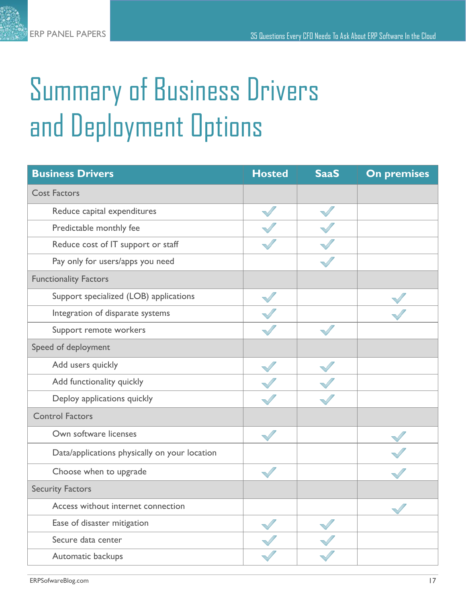# Summary of Business Drivers and Deployment Options

| <b>Business Drivers</b>                       | <b>Hosted</b> | <b>SaaS</b> | <b>On premises</b> |
|-----------------------------------------------|---------------|-------------|--------------------|
| <b>Cost Factors</b>                           |               |             |                    |
| Reduce capital expenditures                   |               |             |                    |
| Predictable monthly fee                       |               |             |                    |
| Reduce cost of IT support or staff            |               |             |                    |
| Pay only for users/apps you need              |               |             |                    |
| <b>Functionality Factors</b>                  |               |             |                    |
| Support specialized (LOB) applications        |               |             |                    |
| Integration of disparate systems              |               |             |                    |
| Support remote workers                        |               |             |                    |
| Speed of deployment                           |               |             |                    |
| Add users quickly                             |               |             |                    |
| Add functionality quickly                     |               |             |                    |
| Deploy applications quickly                   |               |             |                    |
| <b>Control Factors</b>                        |               |             |                    |
| Own software licenses                         |               |             |                    |
| Data/applications physically on your location |               |             |                    |
| Choose when to upgrade                        |               |             |                    |
| <b>Security Factors</b>                       |               |             |                    |
| Access without internet connection            |               |             |                    |
| Ease of disaster mitigation                   |               |             |                    |
| Secure data center                            |               |             |                    |
| Automatic backups                             |               |             |                    |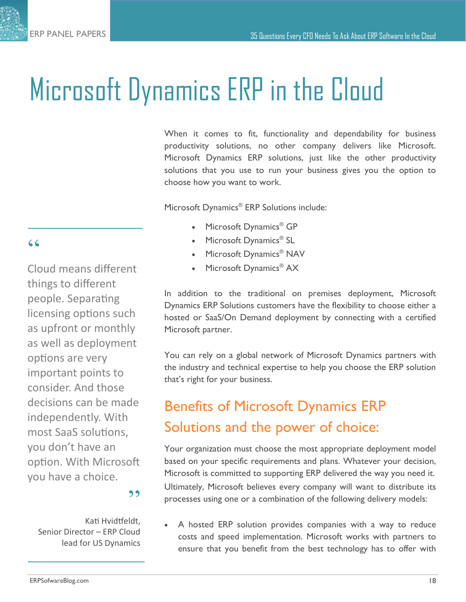### Microsoft Dynamics ERP in the Cloud

When it comes to fit, functionality and dependability for business productivity solutions, no other company delivers like Microsoft. Microsoft Dynamics ERP solutions, just like the other productivity solutions that you use to run your business gives you the option to choose how you want to work.

Microsoft Dynamics<sup>®</sup> ERP Solutions include:

- Microsoft Dynamics<sup>®</sup> GP
- Microsoft Dynamics<sup>®</sup> SL
- Microsoft Dynamics<sup>®</sup> NAV
- Microsoft Dynamics<sup>®</sup> AX

In addition to the traditional on premises deployment, Microsoft Dynamics ERP Solutions customers have the flexibility to choose either a hosted or SaaS/On Demand deployment by connecting with a certified Microsoft partner.

You can rely on a global network of Microsoft Dynamics partners with the industry and technical expertise to help you choose the ERP solution that's right for your business.

#### Benefits of Microsoft Dynamics ERP Solutions and the power of choice:

Your organization must choose the most appropriate deployment model based on your specific requirements and plans. Whatever your decision, Microsoft is committed to supporting ERP delivered the way you need it. Ultimately, Microsoft believes every company will want to distribute its processes using one or a combination of the following delivery models:

 A hosted ERP solution provides companies with a way to reduce costs and speed implementation. Microsoft works with partners to ensure that you benefit from the best technology has to offer with

#### "

Cloud means different things to different people. Separating licensing options such as upfront or monthly as well as deployment options are very important points to consider. And those decisions can be made independently. With most SaaS solutions, you don't have an option. With Microsoft you have a choice.

#### ,,

Kati Hvidtfeldt, Senior Director – ERP Cloud lead for US Dynamics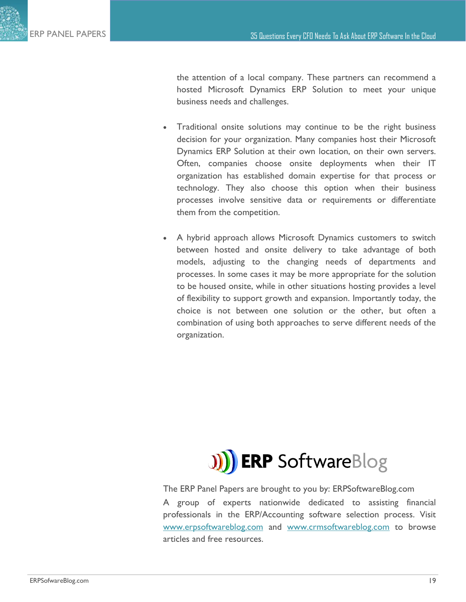the attention of a local company. These partners can recommend a hosted Microsoft Dynamics ERP Solution to meet your unique business needs and challenges.

- Traditional onsite solutions may continue to be the right business decision for your organization. Many companies host their Microsoft Dynamics ERP Solution at their own location, on their own servers. Often, companies choose onsite deployments when their IT organization has established domain expertise for that process or technology. They also choose this option when their business processes involve sensitive data or requirements or differentiate them from the competition.
- A hybrid approach allows Microsoft Dynamics customers to switch between hosted and onsite delivery to take advantage of both models, adjusting to the changing needs of departments and processes. In some cases it may be more appropriate for the solution to be housed onsite, while in other situations hosting provides a level of flexibility to support growth and expansion. Importantly today, the choice is not between one solution or the other, but often a combination of using both approaches to serve different needs of the organization.



The ERP Panel Papers are brought to you by: ERPSoftwareBlog.com A group of experts nationwide dedicated to assisting financial professionals in the ERP/Accounting software selection process. Visit [www.erpsoftwareblog.com](http://www.erpsoftwareblog.com) and [www.crmsoftwareblog.com](http://www.crmsoftwareblog.com) to browse articles and free resources.